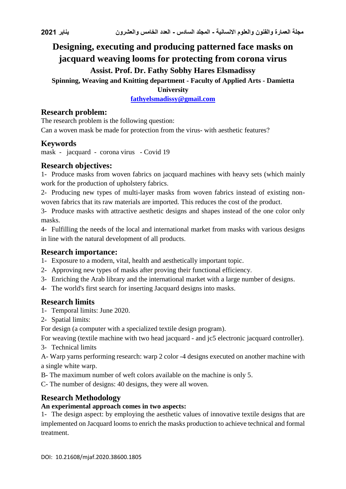# **Designing, executing and producing patterned face masks on jacquard weaving looms for protecting from corona virus Assist. Prof. Dr. Fathy Sobhy Hares Elsmadissy**

**Spinning, Weaving and Knitting department - Faculty of Applied Arts - Damietta** 

**University**

**[fathyelsmadissy@gmail.com](mailto:fathyelsmadissy@gmail.com)**

### **Research problem:**

The research problem is the following question: Can a woven mask be made for protection from the virus- with aesthetic features?

### **Keywords**

mask - jacquard - corona virus - Covid 19

### **Research objectives:**

1- Produce masks from woven fabrics on jacquard machines with heavy sets (which mainly work for the production of upholstery fabrics.

2- Producing new types of multi-layer masks from woven fabrics instead of existing nonwoven fabrics that its raw materials are imported. This reduces the cost of the product.

3- Produce masks with attractive aesthetic designs and shapes instead of the one color only masks.

4- Fulfilling the needs of the local and international market from masks with various designs in line with the natural development of all products.

#### **Research importance:**

1- Exposure to a modern, vital, health and aesthetically important topic.

- 2- Approving new types of masks after proving their functional efficiency.
- 3- Enriching the Arab library and the international market with a large number of designs.
- 4- The world's first search for inserting Jacquard designs into masks.

# **Research limits**

- 1- Temporal limits: June 2020.
- 2- Spatial limits:

For design (a computer with a specialized textile design program).

For weaving (textile machine with two head jacquard - and jc5 electronic jacquard controller).

3- Technical limits

A- Warp yarns performing research: warp 2 color -4 designs executed on another machine with a single white warp.

B- The maximum number of weft colors available on the machine is only 5.

C- The number of designs: 40 designs, they were all woven.

# **Research Methodology**

#### **An experimental approach comes in two aspects:**

1- The design aspect: by employing the aesthetic values of innovative textile designs that are implemented on Jacquard looms to enrich the masks production to achieve technical and formal treatment.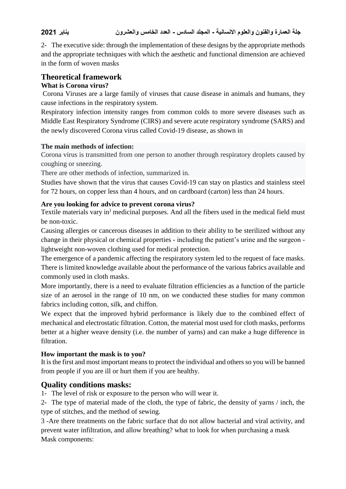2- The executive side: through the implementation of these designs by the appropriate methods and the appropriate techniques with which the aesthetic and functional dimension are achieved in the form of woven masks

# **Theoretical framework**

#### **What is Corona virus?**

Corona Viruses are a large family of viruses that cause disease in animals and humans, they cause infections in the respiratory system.

Respiratory infection intensity ranges from common colds to more severe diseases such as Middle East Respiratory Syndrome (CIRS) and severe acute respiratory syndrome (SARS) and the newly discovered Corona virus called Covid-19 disease, as shown in

#### **The main methods of infection:**

Corona virus is transmitted from one person to another through respiratory droplets caused by coughing or sneezing.

There are other methods of infection, summarized in.

Studies have shown that the virus that causes Covid-19 can stay on plastics and stainless steel for 72 hours, on copper less than 4 hours, and on cardboard (carton) less than 24 hours.

#### **Are you looking for advice to prevent corona virus?**

Textile materials vary in) medicinal purposes. And all the fibers used in the medical field must be non-toxic.

Causing allergies or cancerous diseases in addition to their ability to be sterilized without any change in their physical or chemical properties - including the patient's urine and the surgeon lightweight non-woven clothing used for medical protection.

The emergence of a pandemic affecting the respiratory system led to the request of face masks. There is limited knowledge available about the performance of the various fabrics available and commonly used in cloth masks.

More importantly, there is a need to evaluate filtration efficiencies as a function of the particle size of an aerosol in the range of 10 nm, on we conducted these studies for many common fabrics including cotton, silk, and chiffon.

We expect that the improved hybrid performance is likely due to the combined effect of mechanical and electrostatic filtration. Cotton, the material most used for cloth masks, performs better at a higher weave density (i.e. the number of yarns) and can make a huge difference in filtration.

#### **How important the mask is to you?**

It is the first and most important means to protect the individual and others so you will be banned from people if you are ill or hurt them if you are healthy.

# **Quality conditions masks:**

1- The level of risk or exposure to the person who will wear it.

2- The type of material made of the cloth, the type of fabric, the density of yarns / inch, the type of stitches, and the method of sewing.

3 -Are there treatments on the fabric surface that do not allow bacterial and viral activity, and prevent water infiltration, and allow breathing? what to look for when purchasing a mask Mask components: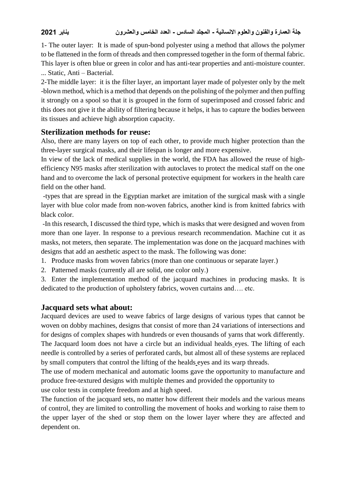1- The outer layer: It is made of spun-bond polyester using a method that allows the polymer to be flattened in the form of threads and then compressed together in the form of thermal fabric. This layer is often blue or green in color and has anti-tear properties and anti-moisture counter. ... Static, Anti – Bacterial.

2-The middle layer: it is the filter layer, an important layer made of polyester only by the melt -blown method, which is a method that depends on the polishing of the polymer and then puffing it strongly on a spool so that it is grouped in the form of superimposed and crossed fabric and this does not give it the ability of filtering because it helps, it has to capture the bodies between its tissues and achieve high absorption capacity.

### **Sterilization methods for reuse:**

Also, there are many layers on top of each other, to provide much higher protection than the three-layer surgical masks, and their lifespan is longer and more expensive.

In view of the lack of medical supplies in the world, the FDA has allowed the reuse of highefficiency N95 masks after sterilization with autoclaves to protect the medical staff on the one hand and to overcome the lack of personal protective equipment for workers in the health care field on the other hand.

-types that are spread in the Egyptian market are imitation of the surgical mask with a single layer with blue color made from non-woven fabrics, another kind is from knitted fabrics with black color.

-In this research, I discussed the third type, which is masks that were designed and woven from more than one layer. In response to a previous research recommendation. Machine cut it as masks, not meters, then separate. The implementation was done on the jacquard machines with designs that add an aesthetic aspect to the mask. The following was done:

- 1. Produce masks from woven fabrics (more than one continuous or separate layer.)
- 2. Patterned masks (currently all are solid, one color only.)
- 3. Enter the implementation method of the jacquard machines in producing masks. It is dedicated to the production of upholstery fabrics, woven curtains and…. etc.

# **Jacquard sets what about:**

Jacquard devices are used to weave fabrics of large designs of various types that cannot be woven on dobby machines, designs that consist of more than 24 variations of intersections and for designs of complex shapes with hundreds or even thousands of yarns that work differently. The Jacquard loom does not have a circle but an individual healds eyes. The lifting of each needle is controlled by a series of perforated cards, but almost all of these systems are replaced by small computers that control the lifting of the healds eyes and its warp threads.

The use of modern mechanical and automatic looms gave the opportunity to manufacture and produce free-textured designs with multiple themes and provided the opportunity to

use color tests in complete freedom and at high speed.

The function of the jacquard sets, no matter how different their models and the various means of control, they are limited to controlling the movement of hooks and working to raise them to the upper layer of the shed or stop them on the lower layer where they are affected and dependent on.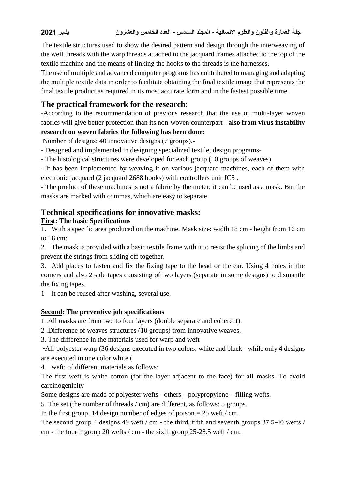The textile structures used to show the desired pattern and design through the interweaving of the weft threads with the warp threads attached to the jacquard frames attached to the top of the textile machine and the means of linking the hooks to the threads is the harnesses.

The use of multiple and advanced computer programs has contributed to managing and adapting the multiple textile data in order to facilitate obtaining the final textile image that represents the final textile product as required in its most accurate form and in the fastest possible time.

# **The practical framework for the research**:

-According to the recommendation of previous research that the use of multi-layer woven fabrics will give better protection than its non-woven counterpart - **also from virus instability** 

# **research on woven fabrics the following has been done:**

Number of designs: 40 innovative designs (7 groups).-

- Designed and implemented in designing specialized textile, design programs-
- The histological structures were developed for each group (10 groups of weaves)
- It has been implemented by weaving it on various jacquard machines, each of them with electronic jacquard (2 jacquard 2688 hooks) with controllers unit JC5 .

- The product of these machines is not a fabric by the meter; it can be used as a mask. But the masks are marked with commas, which are easy to separate

# **Technical specifications for innovative masks:**

#### **First: The basic Specifications**

1. With a specific area produced on the machine. Mask size: width 18 cm - height from 16 cm to 18 cm:

2. The mask is provided with a basic textile frame with it to resist the splicing of the limbs and prevent the strings from sliding off together.

3. Add places to fasten and fix the fixing tape to the head or the ear. Using 4 holes in the corners and also 2 side tapes consisting of two layers (separate in some designs) to dismantle the fixing tapes.

1- It can be reused after washing, several use.

#### **Second: The preventive job specifications**

1 .All masks are from two to four layers (double separate and coherent).

2 .Difference of weaves structures (10 groups) from innovative weaves.

3. The difference in the materials used for warp and weft

 •All-polyester warp (36 designs executed in two colors: white and black - while only 4 designs are executed in one color white.

4. weft: of different materials as follows:

The first weft is white cotton (for the layer adjacent to the face) for all masks. To avoid carcinogenicity

Some designs are made of polyester wefts - others – polypropylene – filling wefts.

5 .The set (the number of threads / cm) are different, as follows: 5 groups.

In the first group, 14 design number of edges of poison  $= 25$  weft / cm.

The second group 4 designs 49 weft / cm - the third, fifth and seventh groups 37.5-40 wefts / cm - the fourth group 20 wefts / cm - the sixth group 25-28.5 weft / cm.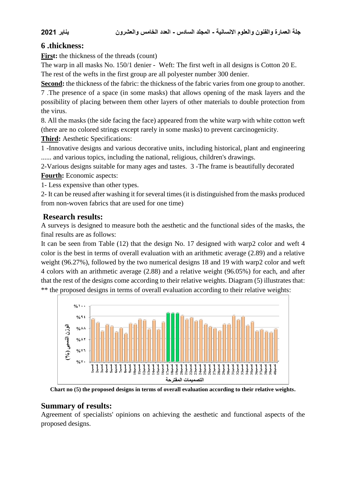# **6 .thickness:**

First: the thickness of the threads (count)

The warp in all masks No. 150/1 denier - Weft: The first weft in all designs is Cotton 20 E. The rest of the wefts in the first group are all polyester number 300 denier.

**Second:** the thickness of the fabric: the thickness of the fabric varies from one group to another. 7 .The presence of a space (in some masks) that allows opening of the mask layers and the possibility of placing between them other layers of other materials to double protection from the virus.

8. All the masks (the side facing the face) appeared from the white warp with white cotton weft (there are no colored strings except rarely in some masks) to prevent carcinogenicity.

**Third:** Aesthetic Specifications:

1 -Innovative designs and various decorative units, including historical, plant and engineering ...... and various topics, including the national, religious, children's drawings.

2-Various designs suitable for many ages and tastes. 3 -The frame is beautifully decorated **Fourth:** Economic aspects:

1- Less expensive than other types.

2- It can be reused after washing it for several times (it is distinguished from the masks produced from non-woven fabrics that are used for one time)

# **Research results:**

A surveys is designed to measure both the aesthetic and the functional sides of the masks, the final results are as follows:

It can be seen from Table (12) that the design No. 17 designed with warp2 color and weft 4 color is the best in terms of overall evaluation with an arithmetic average (2.89) and a relative weight (96.27%), followed by the two numerical designs 18 and 19 with warp2 color and weft 4 colors with an arithmetic average (2.88) and a relative weight (96.05%) for each, and after that the rest of the designs come according to their relative weights. Diagram (5) illustrates that: \*\* the proposed designs in terms of overall evaluation according to their relative weights:



**Chart no (5) the proposed designs in terms of overall evaluation according to their relative weights.**

# **Summary of results:**

Agreement of specialists' opinions on achieving the aesthetic and functional aspects of the proposed designs.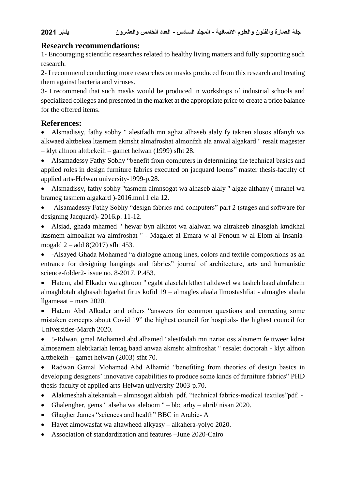### **Research recommendations:**

1- Encouraging scientific researches related to healthy living matters and fully supporting such research.

2- I recommend conducting more researches on masks produced from this research and treating them against bacteria and viruses.

3- I recommend that such masks would be produced in workshops of industrial schools and specialized colleges and presented in the market at the appropriate price to create a price balance for the offered items.

### **References:**

 Alsmadissy, fathy sobhy " alestfadh mn aghzt alhaseb alaly fy taknen alosos alfanyh wa alkwaed alttbekea ltasmem akmsht almafroshat almonfzh ala anwal algakard " resalt magester – klyt alfnon alttbekeih – gamet helwan (1999) sfht 28.

 Alsamadessy Fathy Sobhy "benefit from computers in determining the technical basics and applied roles in design furniture fabrics executed on jacquard looms" master thesis-faculty of applied arts-Helwan university-1999-p.28.

 Alsmadissy, fathy sobhy "tasmem almnsogat wa alhaseb alaly " algze althany ( mrahel wa brameg tasmem algakard )-2016.mn11 ela 12.

 -Alsamadessy Fathy Sobhy "design fabrics and computers" part 2 (stages and software for designing Jacquard)- 2016.p. 11-12.

 Alsiad, ghada mhamed " hewar byn alkhtot wa alalwan wa altrakeeb alnasgiah kmdkhal ltasmem almoalkat wa almfroshat " - Magalet al Emara w al Fenoun w al Elom al Insaniamogald 2 – add 8(2017) sfht 453.

 -Alsayed Ghada Mohamed "a dialogue among lines, colors and textile compositions as an entrance for designing hangings and fabrics" journal of architecture, arts and humanistic science-folder2- issue no. 8-2017. P.453.

 Hatem, abd Elkader wa aghroon " egabt alaselah kthert altdawel wa tasheh baad almfahem almaghlotah alghasah bgaehat firus kofid 19 – almagles alaala llmostashfiat - almagles alaala llgameaat – mars 2020.

• Hatem Abd Alkader and others "answers for common questions and correcting some mistaken concepts about Covid 19" the highest council for hospitals- the highest council for Universities-March 2020.

 5-Rdwan, gmal Mohamed abd alhamed "alestfadah mn nzriat oss altsmem fe ttweer kdrat almosamem alebtkariah lentag baad anwaa akmsht almfroshat " resalet doctorah - klyt alfnon alttbekeih – gamet helwan (2003) sfht 70.

 Radwan Gamal Mohamed Abd Alhamid "benefiting from theories of design basics in developing designers' innovative capabilities to produce some kinds of furniture fabrics" PHD thesis-faculty of applied arts-Helwan university-2003-p.70.

- Alakmeshah altekaniah almnsogat altbiah pdf. "technical fabrics-medical textiles"pdf. -
- Ghalengher, gems " alseha wa aleloom " bbc arby abril/ nisan 2020.
- Ghagher James "sciences and health" BBC in Arabic- A
- Hayet almowasfat wa altawheed alkyasy alkahera-yolyo 2020.
- Association of standardization and features –June 2020-Cairo